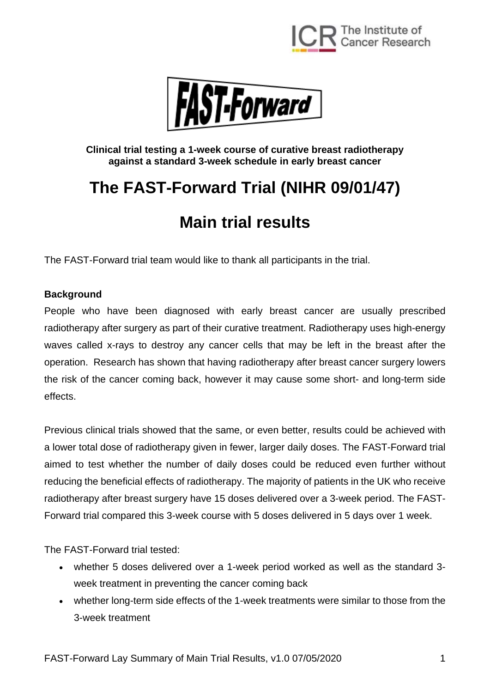



**Clinical trial testing a 1-week course of curative breast radiotherapy against a standard 3-week schedule in early breast cancer**

# **The FAST-Forward Trial (NIHR 09/01/47)**

# **Main trial results**

The FAST-Forward trial team would like to thank all participants in the trial.

# **Background**

People who have been diagnosed with early breast cancer are usually prescribed radiotherapy after surgery as part of their curative treatment. Radiotherapy uses high-energy waves called x-rays to destroy any cancer cells that may be left in the breast after the operation. Research has shown that having radiotherapy after breast cancer surgery lowers the risk of the cancer coming back, however it may cause some short- and long-term side effects.

Previous clinical trials showed that the same, or even better, results could be achieved with a lower total dose of radiotherapy given in fewer, larger daily doses. The FAST-Forward trial aimed to test whether the number of daily doses could be reduced even further without reducing the beneficial effects of radiotherapy. The majority of patients in the UK who receive radiotherapy after breast surgery have 15 doses delivered over a 3-week period. The FAST-Forward trial compared this 3-week course with 5 doses delivered in 5 days over 1 week.

The FAST-Forward trial tested:

- whether 5 doses delivered over a 1-week period worked as well as the standard 3 week treatment in preventing the cancer coming back
- whether long-term side effects of the 1-week treatments were similar to those from the 3-week treatment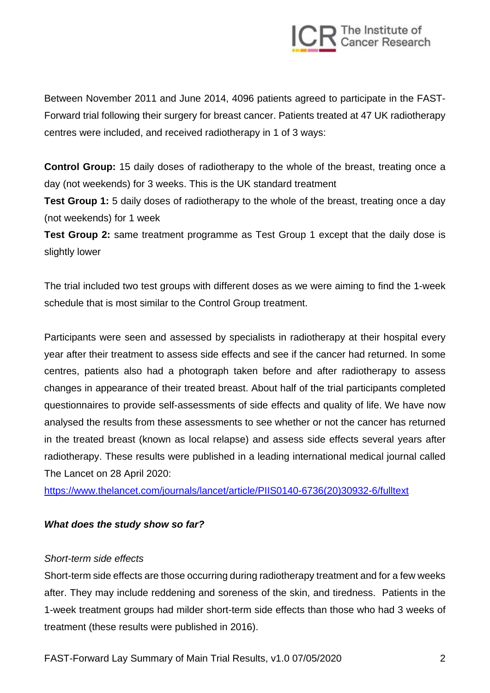

Between November 2011 and June 2014, 4096 patients agreed to participate in the FAST-Forward trial following their surgery for breast cancer. Patients treated at 47 UK radiotherapy centres were included, and received radiotherapy in 1 of 3 ways:

**Control Group:** 15 daily doses of radiotherapy to the whole of the breast, treating once a day (not weekends) for 3 weeks. This is the UK standard treatment

**Test Group 1:** 5 daily doses of radiotherapy to the whole of the breast, treating once a day (not weekends) for 1 week

**Test Group 2:** same treatment programme as Test Group 1 except that the daily dose is slightly lower

The trial included two test groups with different doses as we were aiming to find the 1-week schedule that is most similar to the Control Group treatment.

Participants were seen and assessed by specialists in radiotherapy at their hospital every year after their treatment to assess side effects and see if the cancer had returned. In some centres, patients also had a photograph taken before and after radiotherapy to assess changes in appearance of their treated breast. About half of the trial participants completed questionnaires to provide self-assessments of side effects and quality of life. We have now analysed the results from these assessments to see whether or not the cancer has returned in the treated breast (known as local relapse) and assess side effects several years after radiotherapy. These results were published in a leading international medical journal called The Lancet on 28 April 2020:

[https://www.thelancet.com/journals/lancet/article/PIIS0140-6736\(20\)30932-6/fulltext](https://www.thelancet.com/journals/lancet/article/PIIS0140-6736(20)30932-6/fulltext)

# *What does the study show so far?*

# *Short-term side effects*

Short-term side effects are those occurring during radiotherapy treatment and for a few weeks after. They may include reddening and soreness of the skin, and tiredness. Patients in the 1-week treatment groups had milder short-term side effects than those who had 3 weeks of treatment (these results were published in 2016).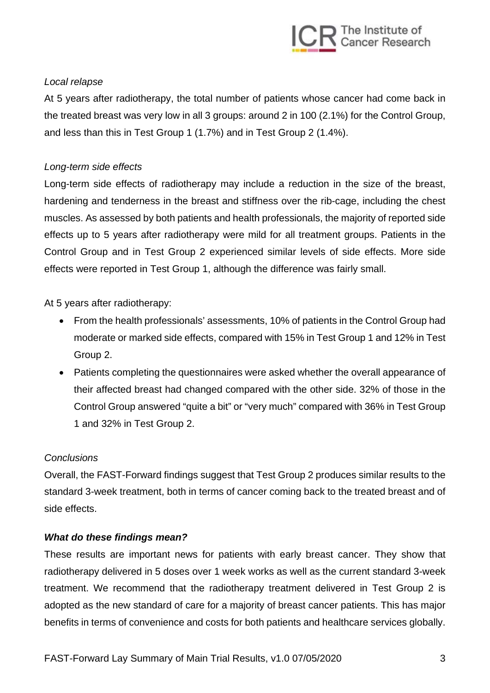

# *Local relapse*

At 5 years after radiotherapy, the total number of patients whose cancer had come back in the treated breast was very low in all 3 groups: around 2 in 100 (2.1%) for the Control Group, and less than this in Test Group 1 (1.7%) and in Test Group 2 (1.4%).

# *Long-term side effects*

Long-term side effects of radiotherapy may include a reduction in the size of the breast, hardening and tenderness in the breast and stiffness over the rib-cage, including the chest muscles. As assessed by both patients and health professionals, the majority of reported side effects up to 5 years after radiotherapy were mild for all treatment groups. Patients in the Control Group and in Test Group 2 experienced similar levels of side effects. More side effects were reported in Test Group 1, although the difference was fairly small.

At 5 years after radiotherapy:

- From the health professionals' assessments, 10% of patients in the Control Group had moderate or marked side effects, compared with 15% in Test Group 1 and 12% in Test Group 2.
- Patients completing the questionnaires were asked whether the overall appearance of their affected breast had changed compared with the other side. 32% of those in the Control Group answered "quite a bit" or "very much" compared with 36% in Test Group 1 and 32% in Test Group 2.

# *Conclusions*

Overall, the FAST-Forward findings suggest that Test Group 2 produces similar results to the standard 3-week treatment, both in terms of cancer coming back to the treated breast and of side effects.

# *What do these findings mean?*

These results are important news for patients with early breast cancer. They show that radiotherapy delivered in 5 doses over 1 week works as well as the current standard 3-week treatment. We recommend that the radiotherapy treatment delivered in Test Group 2 is adopted as the new standard of care for a majority of breast cancer patients. This has major benefits in terms of convenience and costs for both patients and healthcare services globally.